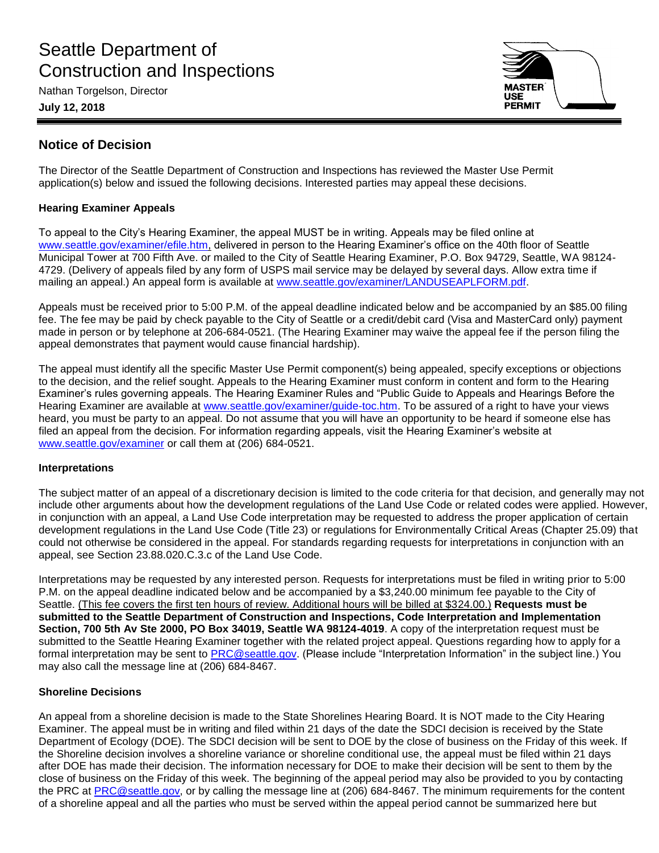# Seattle Department of Construction and Inspections

Nathan Torgelson, Director

**July 12, 2018**



# **Notice of Decision**

The Director of the Seattle Department of Construction and Inspections has reviewed the Master Use Permit application(s) below and issued the following decisions. Interested parties may appeal these decisions.

# **Hearing Examiner Appeals**

To appeal to the City's Hearing Examiner, the appeal MUST be in writing. Appeals may be filed online at [www.seattle.gov/examiner/efile.htm,](http://www.seattle.gov/examiner/efile.htm) delivered in person to the Hearing Examiner's office on the 40th floor of Seattle Municipal Tower at 700 Fifth Ave. or mailed to the City of Seattle Hearing Examiner, P.O. Box 94729, Seattle, WA 98124- 4729. (Delivery of appeals filed by any form of USPS mail service may be delayed by several days. Allow extra time if mailing an appeal.) An appeal form is available at [www.seattle.gov/examiner/LANDUSEAPLFORM.pdf.](http://www.seattle.gov/examiner/LANDUSEAPLFORM.pdf)

Appeals must be received prior to 5:00 P.M. of the appeal deadline indicated below and be accompanied by an \$85.00 filing fee. The fee may be paid by check payable to the City of Seattle or a credit/debit card (Visa and MasterCard only) payment made in person or by telephone at 206-684-0521. (The Hearing Examiner may waive the appeal fee if the person filing the appeal demonstrates that payment would cause financial hardship).

The appeal must identify all the specific Master Use Permit component(s) being appealed, specify exceptions or objections to the decision, and the relief sought. Appeals to the Hearing Examiner must conform in content and form to the Hearing Examiner's rules governing appeals. The Hearing Examiner Rules and "Public Guide to Appeals and Hearings Before the Hearing Examiner are available at [www.seattle.gov/examiner/guide-toc.htm.](http://www.seattle.gov/examiner/guide-toc.htm) To be assured of a right to have your views heard, you must be party to an appeal. Do not assume that you will have an opportunity to be heard if someone else has filed an appeal from the decision. For information regarding appeals, visit the Hearing Examiner's website at [www.seattle.gov/examiner](http://www.seattle.gov/examiner) or call them at (206) 684-0521.

## **Interpretations**

The subject matter of an appeal of a discretionary decision is limited to the code criteria for that decision, and generally may not include other arguments about how the development regulations of the Land Use Code or related codes were applied. However, in conjunction with an appeal, a Land Use Code interpretation may be requested to address the proper application of certain development regulations in the Land Use Code (Title 23) or regulations for Environmentally Critical Areas (Chapter 25.09) that could not otherwise be considered in the appeal. For standards regarding requests for interpretations in conjunction with an appeal, see Section 23.88.020.C.3.c of the Land Use Code.

Interpretations may be requested by any interested person. Requests for interpretations must be filed in writing prior to 5:00 P.M. on the appeal deadline indicated below and be accompanied by a \$3,240.00 minimum fee payable to the City of Seattle. (This fee covers the first ten hours of review. Additional hours will be billed at \$324.00.) **Requests must be submitted to the Seattle Department of Construction and Inspections, Code Interpretation and Implementation Section, 700 5th Av Ste 2000, PO Box 34019, Seattle WA 98124-4019**. A copy of the interpretation request must be submitted to the Seattle Hearing Examiner together with the related project appeal. Questions regarding how to apply for a formal interpretation may be sent to [PRC@seattle.gov.](mailto:PRC@seattle.gov) (Please include "Interpretation Information" in the subject line.) You may also call the message line at (206) 684-8467.

## **Shoreline Decisions**

An appeal from a shoreline decision is made to the State Shorelines Hearing Board. It is NOT made to the City Hearing Examiner. The appeal must be in writing and filed within 21 days of the date the SDCI decision is received by the State Department of Ecology (DOE). The SDCI decision will be sent to DOE by the close of business on the Friday of this week. If the Shoreline decision involves a shoreline variance or shoreline conditional use, the appeal must be filed within 21 days after DOE has made their decision. The information necessary for DOE to make their decision will be sent to them by the close of business on the Friday of this week. The beginning of the appeal period may also be provided to you by contacting the PRC at [PRC@seattle.gov,](mailto:PRC@seattle.gov) or by calling the message line at (206) 684-8467. The minimum requirements for the content of a shoreline appeal and all the parties who must be served within the appeal period cannot be summarized here but